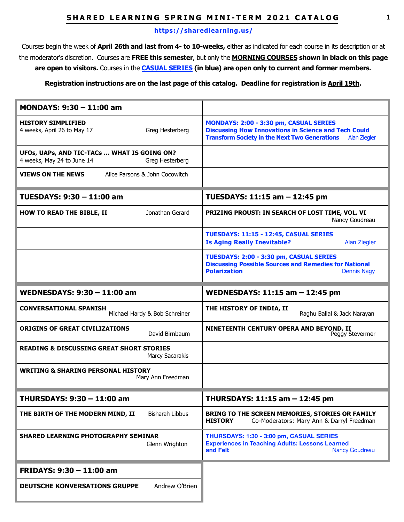## **SHARED LEARNING SPRING MINI-TERM 2021 CATALOG** 1

#### **<https://sharedlearning.us/>**

Courses begin the week of **April 26th and last from 4- to 10-weeks,** either as indicated for each course in its description or at the moderator's discretion.Courses are **FREE this semester**, but only the **MORNING COURSES shown in black on this page are open to visitors.** Courses in the **CASUAL SERIES (in blue) are open only to current and former members.** 

#### **Registration instructions are on the last page of this catalog. Deadline for registration is April 19th.**

| MONDAYS: 9:30 - 11:00 am                                                                     |                                                                                                                                                                                      |
|----------------------------------------------------------------------------------------------|--------------------------------------------------------------------------------------------------------------------------------------------------------------------------------------|
| <b>HISTORY SIMPLIFIED</b><br>Greg Hesterberg<br>4 weeks, April 26 to May 17                  | MONDAYS: 2:00 - 3:30 pm, CASUAL SERIES<br><b>Discussing How Innovations in Science and Tech Could</b><br><b>Transform Society in the Next Two Generations</b><br><b>Alan Ziegler</b> |
| UFOs, UAPs, AND TIC-TACs  WHAT IS GOING ON?<br>4 weeks, May 24 to June 14<br>Greg Hesterberg |                                                                                                                                                                                      |
| <b>VIEWS ON THE NEWS</b><br>Alice Parsons & John Cocowitch                                   |                                                                                                                                                                                      |
| TUESDAYS: 9:30 - 11:00 am                                                                    | TUESDAYS: 11:15 am - 12:45 pm                                                                                                                                                        |
| Jonathan Gerard<br><b>HOW TO READ THE BIBLE, II</b>                                          | PRIZING PROUST: IN SEARCH OF LOST TIME, VOL. VI<br>Nancy Goudreau                                                                                                                    |
|                                                                                              | TUESDAYS: 11:15 - 12:45, CASUAL SERIES<br><b>Is Aging Really Inevitable?</b><br><b>Alan Ziegler</b>                                                                                  |
|                                                                                              | TUESDAYS: 2:00 - 3:30 pm, CASUAL SERIES<br><b>Discussing Possible Sources and Remedies for National</b><br><b>Polarization</b><br><b>Dennis Nagy</b>                                 |
| WEDNESDAYS: 9:30 - 11:00 am                                                                  | WEDNESDAYS: 11:15 am - 12:45 pm                                                                                                                                                      |
| <b>CONVERSATIONAL SPANISH</b><br>Michael Hardy & Bob Schreiner                               | THE HISTORY OF INDIA, II                                                                                                                                                             |
|                                                                                              | Raghu Ballal & Jack Narayan                                                                                                                                                          |
| <b>ORIGINS OF GREAT CIVILIZATIONS</b><br>David Birnbaum                                      | NINETEENTH CENTURY OPERA AND BEYOND, II<br>Peggy Stevermer                                                                                                                           |
| <b>READING &amp; DISCUSSING GREAT SHORT STORIES</b><br><b>Marcy Sacarakis</b>                |                                                                                                                                                                                      |
| <b>WRITING &amp; SHARING PERSONAL HISTORY</b><br>Mary Ann Freedman                           |                                                                                                                                                                                      |
| THURSDAYS: 9:30 - 11:00 am                                                                   | THURSDAYS: 11:15 am - 12:45 pm                                                                                                                                                       |
| THE BIRTH OF THE MODERN MIND, II<br><b>Bisharah Libbus</b>                                   | BRING TO THE SCREEN MEMORIES, STORIES OR FAMILY<br>Co-Moderators: Mary Ann & Darryl Freedman<br><b>HISTORY</b>                                                                       |
| <b>SHARED LEARNING PHOTOGRAPHY SEMINAR</b><br>Glenn Wrighton                                 | THURSDAYS: 1:30 - 3:00 pm, CASUAL SERIES<br><b>Experiences in Teaching Adults: Lessons Learned</b><br>and Felt<br><b>Nancy Goudreau</b>                                              |
| FRIDAYS: 9:30 - 11:00 am                                                                     |                                                                                                                                                                                      |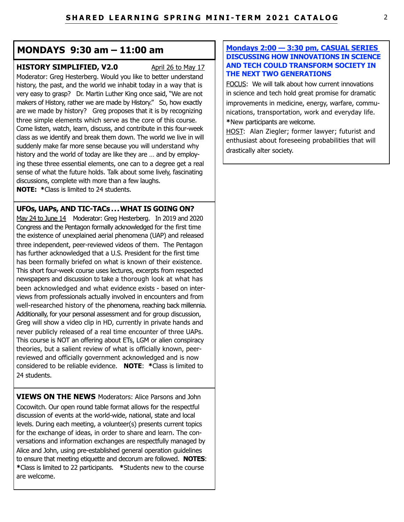## **MONDAYS 9:30 am – 11:00 am**

## **HISTORY SIMPLIFIED, V2.0** April 26 to May 17

Moderator: Greg Hesterberg. Would you like to better understand history, the past, and the world we inhabit today in a way that is very easy to grasp? Dr. Martin Luther King once said, "We are not makers of History, rather we are made by History." So, how exactly are we made by history? Greg proposes that it is by recognizing three simple elements which serve as the core of this course. Come listen, watch, learn, discuss, and contribute in this four-week class as we identify and break them down. The world we live in will suddenly make far more sense because you will understand why history and the world of today are like they are … and by employing these three essential elements, one can to a degree get a real sense of what the future holds. Talk about some lively, fascinating discussions, complete with more than a few laughs. **NOTE: \***Class is limited to 24 students.

## **UFOs, UAPs, AND TIC-TACs . . . WHAT IS GOING ON?**

May 24 to June 14 Moderator: Greg Hesterberg. In 2019 and 2020 Congress and the Pentagon formally acknowledged for the first time the existence of unexplained aerial phenomena (UAP) and released three independent, peer-reviewed videos of them. The Pentagon has further acknowledged that a U.S. President for the first time has been formally briefed on what is known of their existence. This short four-week course uses lectures, excerpts from respected newspapers and discussion to take a thorough look at what has been acknowledged and what evidence exists - based on interviews from professionals actually involved in encounters and from well-researched history of the phenomena, reaching back millennia. Additionally, for your personal assessment and for group discussion, Greg will show a video clip in HD, currently in private hands and never publicly released of a real time encounter of three UAPs. This course is NOT an offering about ETs, LGM or alien conspiracy theories, but a salient review of what is officially known, peerreviewed and officially government acknowledged and is now considered to be reliable evidence. **NOTE**: **\***Class is limited to 24 students.

**VIEWS ON THE NEWS** Moderators: Alice Parsons and John Cocowitch. Our open round table format allows for the respectful discussion of events at the world-wide, national, state and local levels. During each meeting, a volunteer(s) presents current topics for the exchange of ideas, in order to share and learn. The conversations and information exchanges are respectfully managed by Alice and John, using pre-established general operation guidelines to ensure that meeting etiquette and decorum are followed. **NOTES**: **\***Class is limited to 22 participants. **\***Students new to the course are welcome.

### **Mondays 2:00 — 3:30 pm, CASUAL SERIES DISCUSSING HOW INNOVATIONS IN SCIENCE AND TECH COULD TRANSFORM SOCIETY IN THE NEXT TWO GENERATIONS**

FOCUS: We will talk about how current innovations in science and tech hold great promise for dramatic improvements in medicine, energy, warfare, communications, transportation, work and everyday life. **\***New participants are welcome.

HOST: Alan Ziegler; former lawyer; futurist and enthusiast about foreseeing probabilities that will drastically alter society.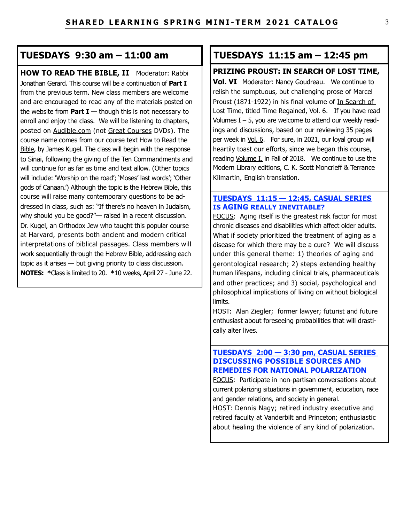## **TUESDAYS 9:30 am – 11:00 am**

**HOW TO READ THE BIBLE, II Moderator: Rabbi** Jonathan Gerard. This course will be a continuation of **Part I** from the previous term. New class members are welcome and are encouraged to read any of the materials posted on the website from **Part I**  $-$  though this is not necessary to enroll and enjoy the class. We will be listening to chapters, posted on Audible.com (not Great Courses DVDs). The course name comes from our course text How to Read the Bible, by James Kugel. The class will begin with the response to Sinai, following the giving of the Ten Commandments and will continue for as far as time and text allow. (Other topics will include: 'Worship on the road'; 'Moses' last words'; 'Other gods of Canaan.') Although the topic is the Hebrew Bible, this course will raise many contemporary questions to be addressed in class, such as: "If there's no heaven in Judaism, why should you be good?"— raised in a recent discussion. Dr. Kugel, an Orthodox Jew who taught this popular course at Harvard, presents both ancient and modern critical interpretations of biblical passages. Class members will work sequentially through the Hebrew Bible, addressing each topic as it arises — but giving priority to class discussion. **NOTES: \***Class is limited to 20. **\***10 weeks, April 27 - June 22.

## **TUESDAYS 11:15 am – 12:45 pm**

## **PRIZING PROUST: IN SEARCH OF LOST TIME,**

**Vol. VI** Moderator: Nancy Goudreau. We continue to relish the sumptuous, but challenging prose of Marcel Proust (1871-1922) in his final volume of In Search of Lost Time, titled Time Regained, Vol. 6. If you have read Volumes  $I - 5$ , you are welcome to attend our weekly readings and discussions, based on our reviewing 35 pages per week in Vol. 6. For sure, in 2021, our loyal group will heartily toast our efforts, since we began this course, reading Volume I, in Fall of 2018. We continue to use the Modern Library editions, C. K. Scott Moncrieff & Terrance Kilmartin, English translation.

#### **TUESDAYS 11:15 — 12:45, CASUAL SERIES IS AGING REALLY INEVITABLE?**

FOCUS: Aging itself is the greatest risk factor for most chronic diseases and disabilities which affect older adults. What if society prioritized the treatment of aging as a disease for which there may be a cure? We will discuss under this general theme: 1) theories of aging and gerontological research; 2) steps extending healthy human lifespans, including clinical trials, pharmaceuticals and other practices; and 3) social, psychological and philosophical implications of living on without biological limits.

HOST: Alan Ziegler; former lawyer; futurist and future enthusiast about foreseeing probabilities that will drastically alter lives.

## **TUESDAYS 2:00 — 3:30 pm, CASUAL SERIES DISCUSSING POSSIBLE SOURCES AND REMEDIES FOR NATIONAL POLARIZATION**

FOCUS: Participate in non-partisan conversations about current polarizing situations in government, education, race and gender relations, and society in general.

HOST: Dennis Nagy; retired industry executive and retired faculty at Vanderbilt and Princeton; enthusiastic about healing the violence of any kind of polarization.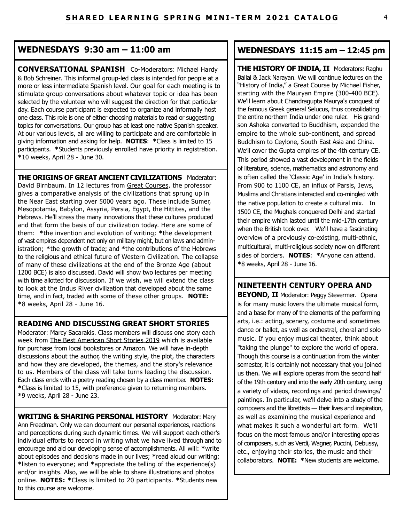## **WEDNESDAYS 9:30 am – 11:00 am**

**CONVERSATIONAL SPANISH** Co-Moderators: Michael Hardy & Bob Schreiner. This informal group-led class is intended for people at a more or less intermediate Spanish level. Our goal for each meeting is to stimulate group conversations about whatever topic or idea has been selected by the volunteer who will suggest the direction for that particular day. Each course participant is expected to organize and informally host one class. This role is one of either choosing materials to read or suggesting topics for conversations. Our group has at least one native Spanish speaker. At our various levels, all are willing to participate and are comfortable in giving information and asking for help. **NOTES**: **\***Class is limited to 15 participants. **\***Students previously enrolled have priority in registration. **\***10 weeks, April 28 - June 30.

**THE ORIGINS OF GREAT ANCIENT CIVILIZATIONS** Moderator: David Birnbaum. In 12 lectures from Great Courses, the professor gives a comparative analysis of the civilizations that sprung up in the Near East starting over 5000 years ago. These include Sumer, Mesopotamia, Babylon, Assyria, Persia, Egypt, the Hittites, and the Hebrews. He'll stress the many innovations that these cultures produced and that form the basis of our civilization today. Here are some of them: **\***the invention and evolution of writing; **\***the development of vast empires dependent not only on military might, but on laws and administration; **\***the growth of trade; and **\***the contributions of the Hebrews to the religious and ethical future of Western Civilization. The collapse of many of these civilizations at the end of the Bronze Age (about 1200 BCE) is also discussed. David will show two lectures per meeting with time allotted for discussion. If we wish, we will extend the class to look at the Indus River civilization that developed about the same time, and in fact, traded with some of these other groups. **NOTE: \***8 weeks, April 28 - June 16.

### **READING AND DISCUSSING GREAT SHORT STORIES**

Moderator: Marcy Sacarakis. Class members will discuss one story each week from The Best American Short Stories 2019 which is available for purchase from local bookstores or Amazon. We will have in-depth discussions about the author, the writing style, the plot, the characters and how they are developed, the themes, and the story's relevance to us. Members of the class will take turns leading the discussion. Each class ends with a poetry reading chosen by a class member. **NOTES: \***Class is limited to 15, with preference given to returning members. **\***9 weeks, April 28 - June 23.

**WRITING & SHARING PERSONAL HISTORY** Moderator: Mary Ann Freedman. Only we can document our personal experiences, reactions and perceptions during such dynamic times. We will support each other's individual efforts to record in writing what we have lived through and to encourage and aid our developing sense of accomplishments. All will: **\***write about episodes and decisions made in our lives; **\***read aloud our writing; **\***listen to everyone; and **\***appreciate the telling of the experience(s) and/or insights. Also, we will be able to share illustrations and photos online. **NOTES: \***Class is limited to 20 participants. **\***Students new to this course are welcome.

## **WEDNESDAYS 11:15 am – 12:45 pm**

**THE HISTORY OF INDIA, II** Moderators: Raghu Ballal & Jack Narayan. We will continue lectures on the "History of India," a Great Course by Michael Fisher, starting with the Mauryan Empire (300-400 BCE). We'll learn about Chandragupta Maurya's conquest of the famous Greek general Selucus, thus consolidating the entire northern India under one ruler. His grandson Ashoka converted to Buddhism, expanded the empire to the whole sub-continent, and spread Buddhism to Ceylone, South East Asia and China. We'll cover the Gupta empires of the 4th century CE. This period showed a vast development in the fields of literature, science, mathematics and astronomy and is often called the 'Classic Age' in India's history. From 900 to 1100 CE, an influx of Parsis, Jews, Muslims and Christians interacted and co-mingled with the native population to create a cultural mix. In 1500 CE, the Mughals conquered Delhi and started their empire which lasted until the mid-17th century when the British took over. We'll have a fascinating overview of a previously co-existing, multi-ethnic, multicultural, multi-religious society now on different sides of borders. **NOTES**: **\***Anyone can attend. **\***8 weeks, April 28 - June 16.

**NINETEENTH CENTURY OPERA AND BEYOND, II** Moderator: Peggy Stevermer. Opera is for many music lovers the ultimate musical form, and a base for many of the elements of the performing arts, i.e.: acting, scenery, costume and sometimes dance or ballet, as well as orchestral, choral and solo music. If you enjoy musical theater, think about "taking the plunge" to explore the world of opera. Though this course is a continuation from the winter semester, it is certainly not necessary that you joined us then. We will explore operas from the second half of the 19th century and into the early 20th century, using a variety of videos, recordings and period drawings/ paintings. In particular, we'll delve into a study of the composers and the librettists — their lives and inspiration, as well as examining the musical experience and what makes it such a wonderful art form. We'll focus on the most famous and/or interesting operas of composers, such as Verdi, Wagner, Puccini, Debussy, etc., enjoying their stories, the music and their collaborators. **NOTE: \***New students are welcome.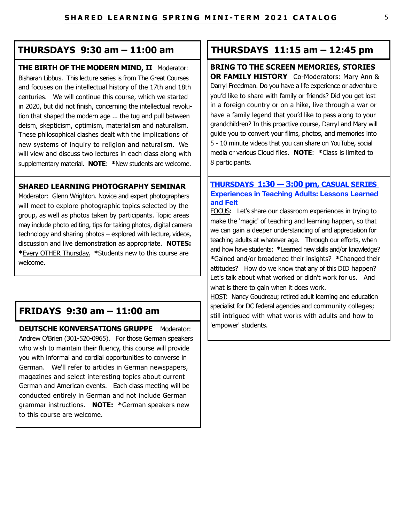## **THURSDAYS 9:30 am – 11:00 am**

**THE BIRTH OF THE MODERN MIND, II** Moderator: Bisharah Libbus. This lecture series is from The Great Courses and focuses on the intellectual history of the 17th and 18th centuries. We will continue this course, which we started in 2020, but did not finish, concerning the intellectual revolution that shaped the modern age ... the tug and pull between deism, skepticism, optimism, materialism and naturalism. These philosophical clashes dealt with the implications of new systems of inquiry to religion and naturalism. We will view and discuss two lectures in each class along with supplementary material. **NOTE**: **\***New students are welcome.

## **SHARED LEARNING PHOTOGRAPHY SEMINAR**

Moderator: Glenn Wrighton. Novice and expert photographers will meet to explore photographic topics selected by the group, as well as photos taken by participants. Topic areas may include photo editing, tips for taking photos, digital camera technology and sharing photos – explored with lecture, videos, discussion and live demonstration as appropriate. **NOTES: \***Every OTHER Thursday. **\***Students new to this course are welcome.

# **FRIDAYS 9:30 am – 11:00 am**

**DEUTSCHE KONVERSATIONS GRUPPE** Moderator: Andrew O'Brien (301-520-0965). For those German speakers who wish to maintain their fluency, this course will provide you with informal and cordial opportunities to converse in German. We'll refer to articles in German newspapers, magazines and select interesting topics about current German and American events. Each class meeting will be conducted entirely in German and not include German grammar instructions. **NOTE: \***German speakers new to this course are welcome.

## **THURSDAYS 11:15 am – 12:45 pm**

**BRING TO THE SCREEN MEMORIES, STORIES OR FAMILY HISTORY** Co-Moderators: Mary Ann & Darryl Freedman. Do you have a life experience or adventure you'd like to share with family or friends? Did you get lost in a foreign country or on a hike, live through a war or have a family legend that you'd like to pass along to your grandchildren? In this proactive course, Darryl and Mary will guide you to convert your films, photos, and memories into 5 - 10 minute videos that you can share on YouTube, social media or various Cloud files. **NOTE**: **\***Class is limited to 8 participants.

## **THURSDAYS 1:30 — 3:00 pm, CASUAL SERIES Experiences in Teaching Adults: Lessons Learned and Felt**

FOCUS: Let's share our classroom experiences in trying to make the 'magic' of teaching and learning happen, so that we can gain a deeper understanding of and appreciation for teaching adults at whatever age. Through our efforts, when and how have students: **\***Learned new skills and/or knowledge? **\***Gained and/or broadened their insights? **\***Changed their attitudes? How do we know that any of this DID happen? Let's talk about what worked or didn't work for us. And what is there to gain when it does work.

HOST: Nancy Goudreau; retired adult learning and education specialist for DC federal agencies and community colleges; still intrigued with what works with adults and how to 'empower' students.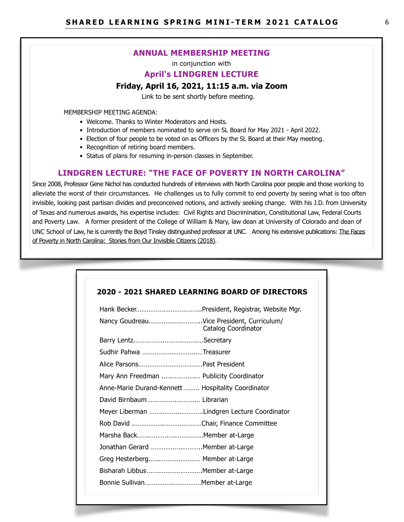#### **ANNUAL MEMBERSHIP MEETING**

in conjunction with

#### **April's LINDGREN LECTURE**

#### **Friday, April 16, 2021, 11:15 a.m. via Zoom**

Link to be sent shortly before meeting.

MEMBERSHIP MEETING AGENDA:

- Welcome. Thanks to Winter Moderators and Hosts.
- Introduction of members nominated to serve on SL Board for May 2021 April 2022.
- Election of four people to be voted on as Officers by the SL Board at their May meeting.
- Recognition of retiring board members.
- Status of plans for resuming in-person classes in September.

#### **LINDGREN LECTURE: "THE FACE OF POVERTY IN NORTH CAROLINA"**

Since 2008, Professor Gene Nichol has conducted hundreds of interviews with North Carolina poor people and those working to alleviate the worst of their circumstances. He challenges us to fully commit to end poverty by seeing what is too often invisible, looking past partisan divides and preconceived notions, and actively seeking change. With his J.D. from University of Texas and numerous awards, his expertise includes: Civil Rights and Discrimination, Constitutional Law, Federal Courts and Poverty Law. A former president of the College of William & Mary, law dean at University of Colorado and dean of UNC School of Law, he is currently the Boyd Tinsley distinguished professor at UNC. Among his extensive publications: The Faces of Poverty in North Carolina: Stories from Our Invisible Citizens (2018).

|                                                    | Nancy GoudreauVice President, Curriculum/<br>Catalog Coordinator |
|----------------------------------------------------|------------------------------------------------------------------|
|                                                    |                                                                  |
| Sudhir Pahwa Treasurer                             |                                                                  |
|                                                    |                                                                  |
| Mary Ann Freedman  Publicity Coordinator           |                                                                  |
| Anne-Marie Durand-Kennett  Hospitality Coordinator |                                                                  |
|                                                    |                                                                  |
|                                                    | Meyer Liberman Lindgren Lecture Coordinator                      |
|                                                    |                                                                  |
|                                                    |                                                                  |
| Jonathan Gerard Member at-Large                    |                                                                  |
| Greg Hesterberg Member at-Large                    |                                                                  |
| Bisharah Libbus  Member at-Large                   |                                                                  |
| Bonnie Sullivan Member at-Large                    |                                                                  |